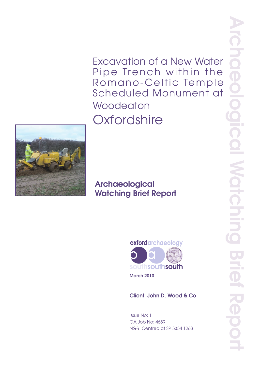Excavation of a New Water Pipe Trench within the Romano-Celtic Temple Scheduled Monument at **Woodeaton Oxfordshire** 



# Archaeological Watching Brief Report



March 2010

Client: John D. Wood & Co

Issue No: 1 OA Job No: 4659 NGR: Centred at SP 5354 1263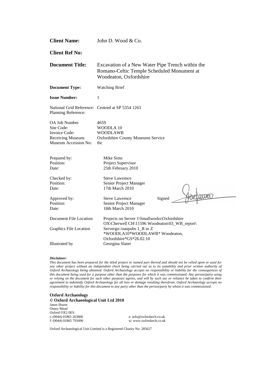| <b>Client Name:</b>                                                                       | John D. Wood & Co.                                                                                                       |  |  |  |  |
|-------------------------------------------------------------------------------------------|--------------------------------------------------------------------------------------------------------------------------|--|--|--|--|
| <b>Client Ref No:</b>                                                                     |                                                                                                                          |  |  |  |  |
| <b>Document Title:</b>                                                                    | Excavation of a New Water Pipe Trench within the<br>Romano-Celtic Temple Scheduled Monument at<br>Woodeaton, Oxfordshire |  |  |  |  |
| <b>Document Type:</b>                                                                     | <b>Watching Brief</b>                                                                                                    |  |  |  |  |
| <b>Issue Number:</b>                                                                      | $\mathbf{1}$                                                                                                             |  |  |  |  |
| National Grid Reference: Centred at SP 5354 1263<br>Planning Reference:                   |                                                                                                                          |  |  |  |  |
| OA Job Number<br>Site Code:<br>Invoice Code:<br>Receiving Museum:<br>Museum Accession No: | 4659<br>WOODLA 10<br><b>WOODLAWB</b><br><b>Oxfordshire County Museums Service</b><br>tbc                                 |  |  |  |  |
| Prepared by:<br>Position:<br>Date:                                                        | Mike Sims<br>Project Supervisor<br>25th February 2010                                                                    |  |  |  |  |
| Checked by:<br>Position:<br>Date:                                                         | <b>Steve Lawrence</b><br>Senior Project Manager<br>17th March 2010                                                       |  |  |  |  |
| Approved by:<br>Position:<br>Date:                                                        | <b>Steve Lawrence</b><br>Signed<br>Senior Project Manager<br>18th March 2010                                             |  |  |  |  |
| Document File Location                                                                    | Projects on Server 1\Smallworks\Oxfordshire<br>OX\Cherwell CH\11596 Woodeaton\03_WB_report\                              |  |  |  |  |
| Graphics File Location                                                                    | Servergo:/oaupubs 1_R to Z<br>*WOODLA10*WOODLAWB* Woodeaton,<br>Oxfordshire*GS*26.02.10                                  |  |  |  |  |
| Illustrated by                                                                            | Georgina Slater                                                                                                          |  |  |  |  |

#### *Disclaimer:*

*This document has been prepared for the titled project or named part thereof and should not be relied upon or used for any other project without an independent check being carried out as to its suitability and prior written authority of Oxford Archaeology being obtained. Oxford Archaeology accepts no responsibility or liability for the consequences of this document being used for a purpose other than the purposes for which it was commissioned. Any person/party using or relying on the document for such other purposes agrees, and will by such use or reliance be taken to confirm their agreement to indemnify Oxford Archaeology for all loss or damage resulting therefrom. Oxford Archaeology accepts no responsibility or liability for this document to any party other than the person/party by whom it was commissioned.*

#### **Oxford Archaeology © Oxford Archaeological Unit Ltd 2010** Janus House Osney Mead Oxford OX2 0ES<br>t: (0044) 01865 263800 f: (0044) 01865 793496 w: www.oxfordarch.co.uk

e: info@oxfordarch.co.uk

Oxford Archaeological Unit Limited is a Registered Charity No: 285627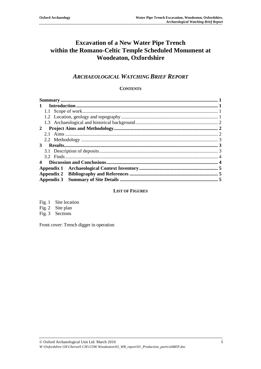## **Excavation of a New Water Pipe Trench within the Romano-Celtic Temple Scheduled Monument at Woodeaton, Oxfordshire**

## *ARCHAEOLOGICAL WATCHING BRIEF REPORT*

## **CONTENTS**

| $\mathbf{1}$ |  |
|--------------|--|
|              |  |
|              |  |
|              |  |
| $2^{\circ}$  |  |
|              |  |
|              |  |
| 3            |  |
|              |  |
|              |  |
|              |  |
|              |  |
|              |  |
|              |  |

## **LIST OF FIGURES**

Fig. 1 Site location Fig. 2 Site plan

Fig. 3 Sections

Front cover: Trench digger in operation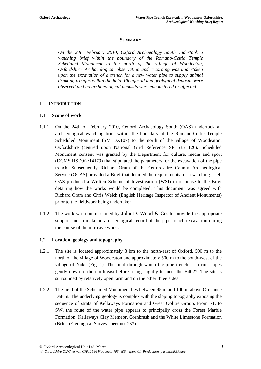#### **SUMMARY**

*On the 24th February 2010, Oxford Archaeology South undertook a watching brief within the boundary of the Romano-Celtic Temple Scheduled Monument to the north of the village of Woodeaton, Oxfordshire. Archaeological observation and recording was undertaken upon the excavation of a trench for a new water pipe to supply animal drinking troughs within the field. Ploughsoil and geological deposits were observed and no archaeological deposits were encountered or affected.*

#### 1 **INTRODUCTION**

#### 1.1 **Scope of work**

- 1.1.1 On the 24th of February 2010, Oxford Archaeology South (OAS) undertook an archaeological watching brief within the boundary of the Romano-Celtic Temple Scheduled Monument (SM OX107) to the north of the village of Woodeaton, Oxfordshire (centred upon National Grid Reference SP 535 126). Scheduled Monument consent was granted by the Department for culture, media and sport (DCMS HSD9/2/14179) that stipulated the parameters for the excavation of the pipe trench. Subsequently Richard Oram of the Oxfordshire County Archaeological Service (OCAS) provided a Brief that detailed the requirements for a watching brief. OAS produced a Written Scheme of Investigation (WSI) in response to the Brief detailing how the works would be completed. This document was agreed with Richard Oram and Chris Welch (English Heritage Inspector of Ancient Monuments) prior to the fieldwork being undertaken.
- 1.1.2 The work was commissioned by John D. Wood & Co. to provide the appropriate support and to make an archaeological record of the pipe trench excavation during the course of the intrusive works.

## 1.2 **Location, geology and topography**

- 1.2.1 The site is located approximately 3 km to the north-east of Oxford, 500 m to the north of the village of Woodeaton and approximately 500 m to the south-west of the village of Noke (Fig. 1). The field through which the pipe trench is to run slopes gently down to the north-east before rising slightly to meet the B4027. The site is surrounded by relatively open farmland on the other three sides.
- 1.2.2 The field of the Scheduled Monument lies between 95 m and 100 m above Ordnance Datum. The underlying geology is complex with the sloping topography exposing the sequence of strata of Kellaways Formation and Great Oolitie Group. From NE to SW, the route of the water pipe appears to principally cross the Forest Marble Formation, Kellaways Clay Memebr, Cornbrash and the White Limestone Formation (British Geological Survey sheet no. 237).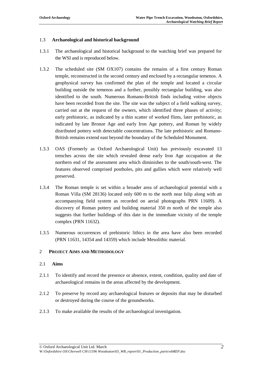## 1.3 **Archaeological and historical background**

- 1.3.1 The archaeological and historical background to the watching brief was prepared for the WSI and is reproduced below.
- 1.3.2 The scheduled site (SM OX107) contains the remains of a first century Roman temple, reconstructed in the second century and enclosed by a rectangular temenos. A geophysical survey has confirmed the plan of the temple and located a circular building outside the temenos and a further, possibly rectangular building, was also identified to the south. Numerous Romano-British finds including votive objects have been recorded from the site. The site was the subject of a field walking survey, carried out at the request of the owners, which identified three phases of activity; early prehistoric, as indicated by a thin scatter of worked flints, later prehistoric, as indicated by late Bronze Age and early Iron Age pottery, and Roman by widely distributed pottery with detectable concentrations. The late prehistoric and Romano-British remains extend east beyond the boundary of the Scheduled Monument.
- 1.3.3 OAS (Formerly as Oxford Archaeological Unit) has previously excavated 13 trenches across the site which revealed dense early Iron Age occupation at the northern end of the assessment area which diminishes to the south/south-west. The features observed comprised postholes, pits and gullies which were relatively well preserved.
- 1.3.4 The Roman temple is set within a broader area of archaeological potential with a Roman Villa (SM 28136) located only 600 m to the north near Islip along with an accompanying field system as recorded on aerial photographs PRN 11609). A discovery of Roman pottery and building material 350 m north of the temple also suggests that further buildings of this date in the immediate vicinity of the temple complex (PRN 11632).
- 1.3.5 Numerous occurrences of prehistoric lithics in the area have also been recorded (PRN 11631, 14354 and 14359) which include Mesolithic material.

## 2 **PROJECT AIMS AND METHODOLOGY**

## 2.1 **Aims**

- 2.1.1 To identify and record the presence or absence, extent, condition, quality and date of archaeological remains in the areas affected by the development.
- 2.1.2 To preserve by record any archaeological features or deposits that may be disturbed or destroyed during the course of the groundworks.
- 2.1.3 To make available the results of the archaeological investigation.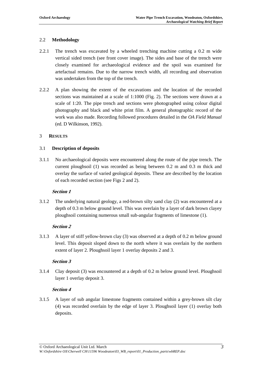## 2.2 **Methodology**

- 2.2.1 The trench was excavated by a wheeled trenching machine cutting a 0.2 m wide vertical sided trench (see front cover image). The sides and base of the trench were closely examined for archaeological evidence and the spoil was examined for artefactual remains. Due to the narrow trench width, all recording and observation was undertaken from the top of the trench.
- 2.2.2 A plan showing the extent of the excavations and the location of the recorded sections was maintained at a scale of 1:1000 (Fig. 2). The sections were drawn at a scale of 1:20. The pipe trench and sections were photographed using colour digital photography and black and white print film. A general photographic record of the work was also made. Recording followed procedures detailed in the *OA Field Manual* (ed. D Wilkinson, 1992).

## 3 **RESULTS**

## 3.1 **Description of deposits**

3.1.1 No archaeological deposits were encountered along the route of the pipe trench. The current ploughsoil (1) was recorded as being between 0.2 m and 0.3 m thick and overlay the surface of varied geological deposits. These are described by the location of each recorded section (see Figs 2 and 2).

## **Section 1**

3.1.2 The underlying natural geology, a red-brown silty sand clay (2) was encountered at a depth of 0.3 m below ground level. This was overlain by a layer of dark brown clayey ploughsoil containing numerous small sub-angular fragments of limestone (1).

## **Section 2**

3.1.3 A layer of stiff yellow-brown clay (3) was observed at a depth of 0.2 m below ground level. This deposit sloped down to the north where it was overlain by the northern extent of layer 2. Ploughsoil layer 1 overlay deposits 2 and 3.

## **Section 3**

3.1.4 Clay deposit (3) was encountered at a depth of 0.2 m below ground level. Ploughsoil layer 1 overlay deposit 3.

## **Section 4**

3.1.5 A layer of sub angular limestone fragments contained within a grey-brown silt clay (4) was recorded overlain by the edge of layer 3. Ploughsoil layer (1) overlay both deposits.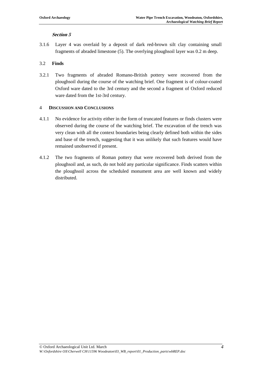## **Section 5**

3.1.6 Layer 4 was overlaid by a deposit of dark red-brown silt clay containing small fragments of abraded limestone (5). The overlying ploughsoil layer was 0.2 m deep.

## 3.2 **Finds**

3.2.1 Two fragments of abraded Romano-British pottery were recovered from the ploughsoil during the course of the watching brief. One fragment is of colour-coated Oxford ware dated to the 3rd century and the second a fragment of Oxford reduced ware dated from the 1st-3rd century.

## 4 **DISCUSSION AND CONCLUSIONS**

- 4.1.1 No evidence for activity either in the form of truncated features or finds clusters were observed during the course of the watching brief. The excavation of the trench was very clean with all the context boundaries being clearly defined both within the sides and base of the trench, suggesting that it was unlikely that such features would have remained unobserved if present.
- 4.1.2 The two fragments of Roman pottery that were recovered both derived from the ploughsoil and, as such, do not hold any particular significance. Finds scatters within the ploughsoil across the scheduled monument area are well known and widely distributed.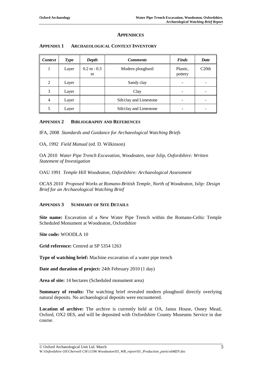#### **APPENDICES**

| <b>Context</b> | <b>Type</b> | Depth              | <b>Comments</b>         | Finds               | Date  |
|----------------|-------------|--------------------|-------------------------|---------------------|-------|
|                | Layer       | $0.2 m - 0.3$<br>m | Modern ploughsoil       | Plastic.<br>pottery | C20th |
| 2              | Layer       |                    | Sandy clay              | -                   |       |
| 3              | Layer       |                    | Clay                    |                     |       |
| 4              | Layer       |                    | Silt/clay and Limestone |                     |       |
| 5              | Layer       |                    | Silt/clay and Limestone |                     |       |

## **APPENDIX 1 ARCHAEOLOGICAL CONTEXT INVENTORY**

## **APPENDIX 2 BIBLIOGRAPHY AND REFERENCES**

IFA, 2008 *Standards and Guidance for Archaeological Watching Briefs*

OA, 1992 *Field Manual* (ed. D. Wilkinson)

OA 2010 *Water Pipe Trench Excavation, Woodeaten, near Islip, Oxfordshire: Written Statement of Investigation*

OAU 1991 *Temple Hill Woodeaton, Oxfordshire: Archaeological Assessment*

OCAS 2010 *Proposed Works at Romano-British Temple, North of Woodeaton, Islip: Design Brief for an Archaeological Watching Brief*

## **APPENDIX 3 SUMMARY OF SITE DETAILS**

**Site name:** Excavation of a New Water Pipe Trench within the Romano-Celtic Temple Scheduled Monument at Woodeaton, Oxfordshire

**Site code:** WOODLA 10

**Grid reference:** Centred at SP 5354 1263

**Type of watching brief:** Machine excavation of a water pipe trench

**Date and duration of project:** 24th February 2010 (1 day)

**Area of site:** 14 hectares (Scheduled monument area)

**Summary of results:** The watching brief revealed modern ploughsoil directly overlying natural deposits. No archaeological deposits were encountered.

**Location of archive:** The archive is currently held at OA, Janus House, Osney Mead, Oxford, OX2 0ES, and will be deposited with Oxfordshire County Museums Service in due course.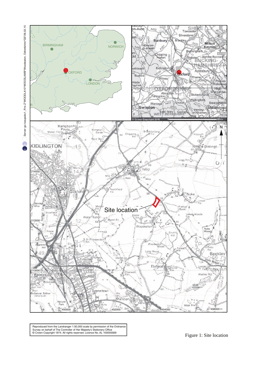

 $\Omega$ 



ency of Scharler Historical Critics magnety Collection Control of the Crown Copyright 1974. All rights reserved. Licence No. AL 100005569 Figure 1: Site location Reproduced from the Landranger 1:50,000 scale by permission of the Ordnance Survey on behalf of The Controller of Her Majesty's Stationery Office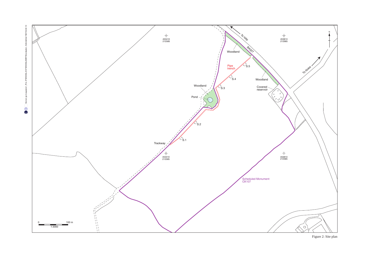

Figure 2: Site plan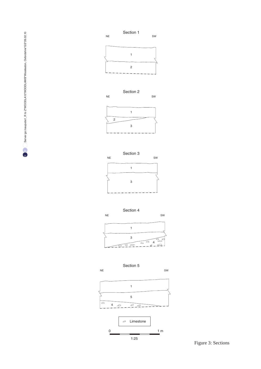